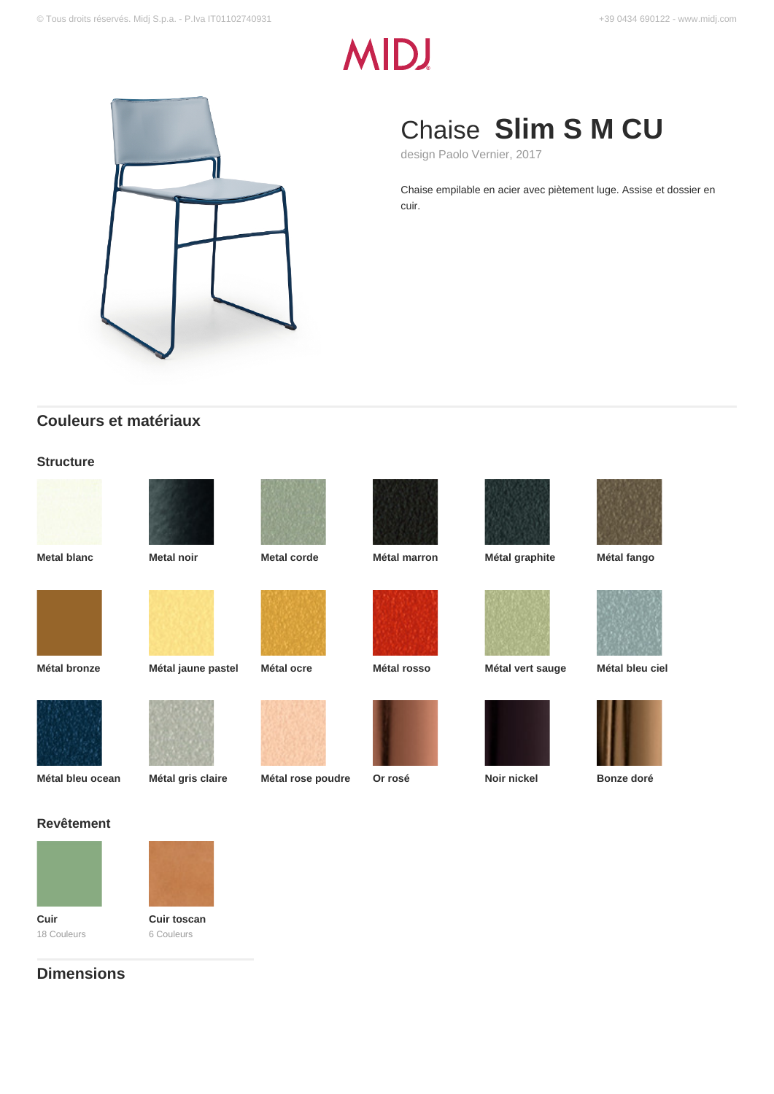# **MIDJ**



# Chaise **Slim S M CU**

design Paolo Vernier, 2017

Chaise empilable en acier avec piètement luge. Assise et dossier en cuir.

## **Couleurs et matériaux**

#### **Structure**







**Metal blanc Metal noir Metal corde Métal marron Métal graphite Métal fango**



























# **Revêtement**





**Cuir** 18 Couleurs **Cuir toscan** 6 Couleurs

# **Dimensions**

**Métal bleu ocean Métal gris claire Métal rose poudre Or rosé Noir nickel Bonze doré**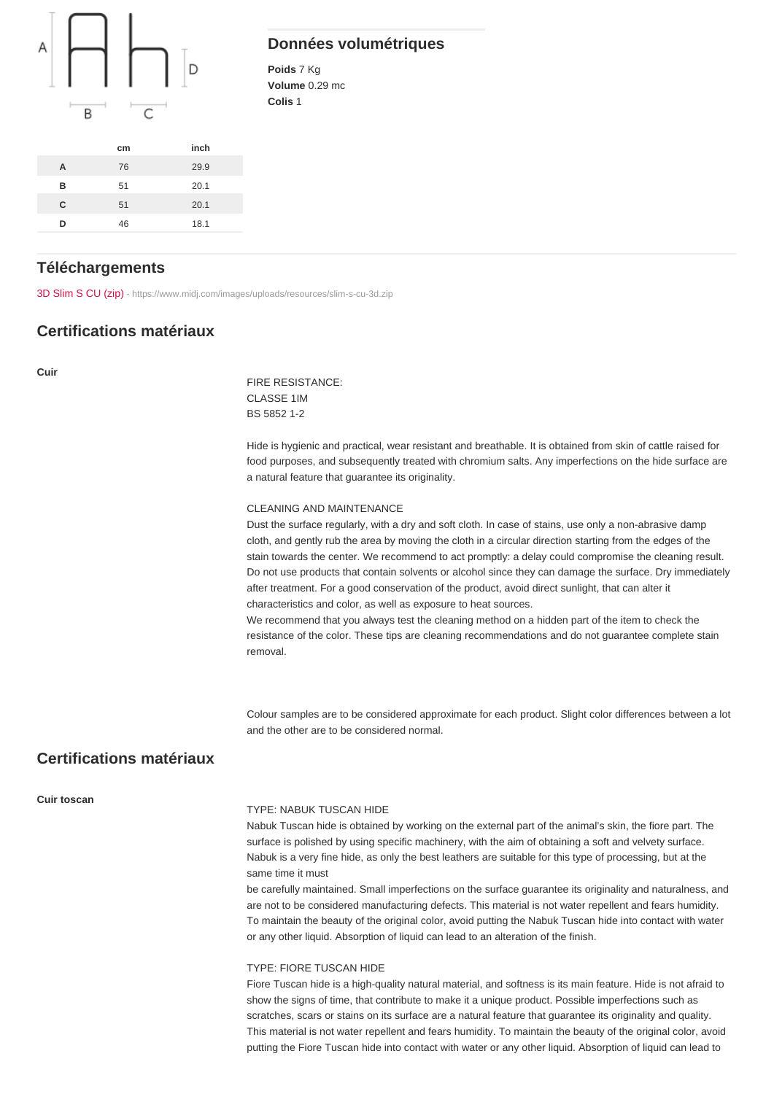#### Données volumétriques

Poids 7 Kg Volume 0.29 mc Colis 1

|   | cm | inch |
|---|----|------|
| Α | 76 | 29.9 |
| B | 51 | 20.1 |
| C | 51 | 20.1 |
| n | 46 | 18.1 |

#### **Téléchargements**

[3D Slim S CU \(zip\)](https://www.midj.com/images/uploads/resources/slim-s-cu-3d.zip) [- https://www.midj.com/images/uploads/resources/slim-s-cu-3d.zip](https://www.midj.com/images/uploads/resources/slim-s-cu-3d.zip)

#### Certifications matériaux

Cuir

FIRE RESISTANCE: CLASSE 1IM BS 5852 1-2

Hide is hygienic and practical, wear resistant and breathable. It is obtained from skin of cattle raised for food purposes, and subsequently treated with chromium salts. Any imperfections on the hide surface are a natural feature that guarantee its originality.

#### CLEANING AND MAINTENANCE

Dust the surface regularly, with a dry and soft cloth. In case of stains, use only a non-abrasive damp cloth, and gently rub the area by moving the cloth in a circular direction starting from the edges of the stain towards the center. We recommend to act promptly: a delay could compromise the cleaning result. Do not use products that contain solvents or alcohol since they can damage the surface. Dry immediately after treatment. For a good conservation of the product, avoid direct sunlight, that can alter it characteristics and color, as well as exposure to heat sources.

We recommend that you always test the cleaning method on a hidden part of the item to check the resistance of the color. These tips are cleaning recommendations and do not guarantee complete stain removal.

Colour samples are to be considered approximate for each product. Slight color differences between a lot and the other are to be considered normal.

## Certifications matériaux

Cuir toscan

#### TYPE: NABUK TUSCAN HIDE

Nabuk Tuscan hide is obtained by working on the external part of the animal's skin, the fiore part. The surface is polished by using specific machinery, with the aim of obtaining a soft and velvety surface. Nabuk is a very fine hide, as only the best leathers are suitable for this type of processing, but at the same time it must

be carefully maintained. Small imperfections on the surface guarantee its originality and naturalness, and are not to be considered manufacturing defects. This material is not water repellent and fears humidity. To maintain the beauty of the original color, avoid putting the Nabuk Tuscan hide into contact with water or any other liquid. Absorption of liquid can lead to an alteration of the finish.

#### TYPE: FIORE TUSCAN HIDE

Fiore Tuscan hide is a high-quality natural material, and softness is its main feature. Hide is not afraid to show the signs of time, that contribute to make it a unique product. Possible imperfections such as scratches, scars or stains on its surface are a natural feature that guarantee its originality and quality. This material is not water repellent and fears humidity. To maintain the beauty of the original color, avoid putting the Fiore Tuscan hide into contact with water or any other liquid. Absorption of liquid can lead to